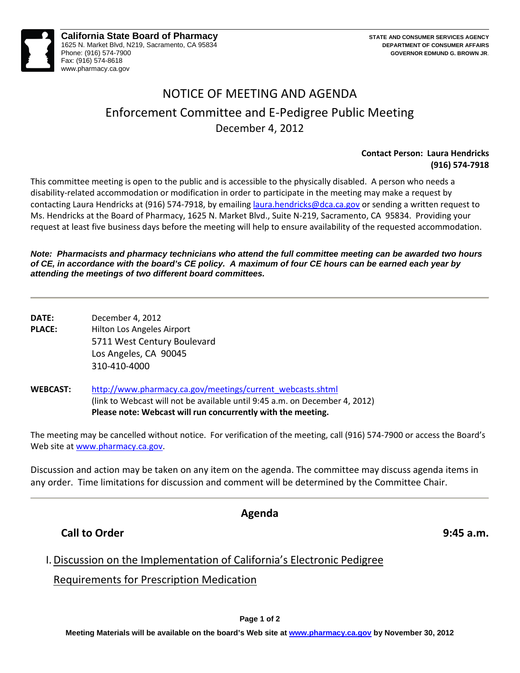

#### **California State Board of Pharmacy** 1625 N. Market Blvd, N219, Sacramento, CA 95834 Phone: (916) 574-7900 Fax: (916) 574-8618 www.pharmacy.ca.gov

# NOTICE OF MEETING AND AGENDA Enforcement Committee and E-Pedigree Public Meeting December 4, 2012

#### **Contact Person: Laura Hendricks (916) 574-7918**

 This committee meeting is open to the public and is accessible to the physically disabled. A person who needs a disability-related accommodation or modification in order to participate in the meeting may make a request by Ms. Hendricks at the Board of Pharmacy, 1625 N. Market Blvd., Suite N-219, Sacramento, CA 95834. Providing your contacting Laura Hendricks at (916) 574-7918, by emailing [laura.hendricks@dca.ca.gov](mailto:laura.hendricks@dca.ca.gov) or sending a written request to request at least five business days before the meeting will help to ensure availability of the requested accommodation.

#### *Note: Pharmacists and pharmacy technicians who attend the full committee meeting can be awarded two hours of CE, in accordance with the board's CE policy. A maximum of four CE hours can be earned each year by attending the meetings of two different board committees.*

- **DATE:** December 4, 2012 **PLACE:** Hilton Los Angeles Airport 5711 West Century Boulevard Los Angeles, CA 90045 310-410-4000
- **WEBCAST:** [http://www.pharmacy.ca.gov/meetings/current\\_webcasts.shtml](http://www.pharmacy.ca.gov/meetings/current_webcasts.shtml)  (link to Webcast will not be available until 9:45 a.m. on December 4, 2012) **Please note: Webcast will run concurrently with the meeting.**

 The meeting may be cancelled without notice. For verification of the meeting, call (916) 574-7900 or access the Board's Web site a[t www.pharmacy.ca.gov.](http://www.pharmacy.ca.gov/)

Discussion and action may be taken on any item on the agenda. The committee may discuss agenda items in any order. Time limitations for discussion and comment will be determined by the Committee Chair.

### **Agenda**

## **Call to Order 9:45 a.m. 19:45 a.m. 19:45 a.m.**

## I. Discussion on the Implementation of California's Electronic Pedigree

### Requirements for Prescription Medication